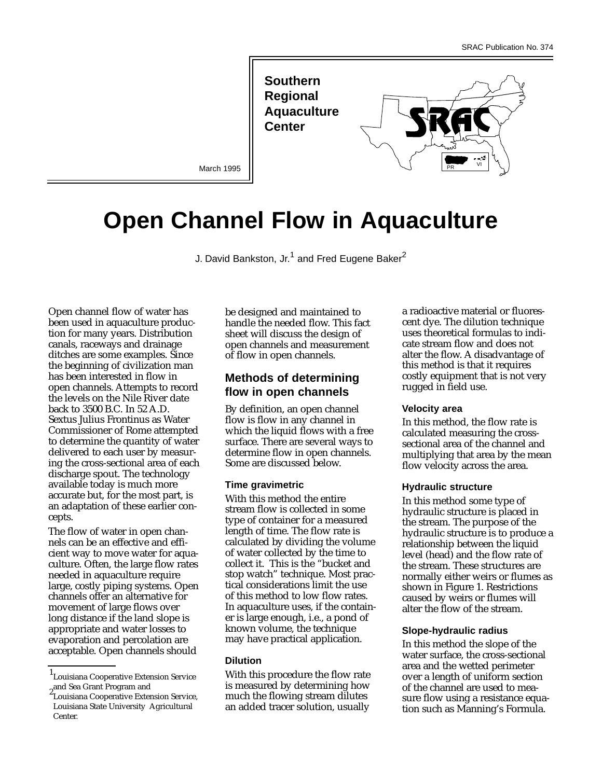**Southern Regional Aquaculture Center** 

March 1995

# **Open Channel Flow in Aquaculture**

J. David Bankston, Jr.<sup>1</sup> and Fred Eugene Baker<sup>2</sup>

Open channel flow of water has been used in aquaculture production for many years. Distribution canals, raceways and drainage ditches are some examples. Since the beginning of civilization man has been interested in flow in open channels. Attempts to record the levels on the Nile River date back to 3500 B.C. In 52 A.D. Sextus Julius Frontinus as Water Commissioner of Rome attempted to determine the quantity of water delivered to each user by measuring the cross-sectional area of each discharge spout. The technology available today is much more accurate but, for the most part, is an adaptation of these earlier concepts.

The flow of water in open channels can be an effective and efficient way to move water for aquaculture. Often, the large flow rates needed in aquaculture require large, costly piping systems. Open channels offer an alternative for movement of large flows over long distance if the land slope is appropriate and water losses to evaporation and percolation are acceptable. Open channels should

be designed and maintained to handle the needed flow. This fact sheet will discuss the design of open channels and measurement of flow in open channels.

# **Methods of determining flow in open channels**

By definition, an open channel flow is flow in any channel in which the liquid flows with a free surface. There are several ways to determine flow in open channels. Some are discussed below.

#### **Time gravimetric**

With this method the entire stream flow is collected in some type of container for a measured length of time. The flow rate is calculated by dividing the volume of water collected by the time to collect it. This is the "bucket and stop watch" technique. Most practical considerations limit the use of this method to low flow rates. In aquaculture uses, if the container is large enough, i.e., a pond of known volume, the technique may have practical application.

#### **Dilution**

With this procedure the flow rate is measured by determining how much the flowing stream dilutes an added tracer solution, usually

a radioactive material or fluorescent dye. The dilution technique uses theoretical formulas to indicate stream flow and does not alter the flow. A disadvantage of this method is that it requires costly equipment that is not very rugged in field use.

VI PR

#### **Velocity area**

In this method, the flow rate is calculated measuring the crosssectional area of the channel and multiplying that area by the mean flow velocity across the area.

#### **Hydraulic structure**

In this method some type of hydraulic structure is placed in the stream. The purpose of the hydraulic structure is to produce a relationship between the liquid level (head) and the flow rate of the stream. These structures are normally either weirs or flumes as shown in Figure 1. Restrictions caused by weirs or flumes will alter the flow of the stream.

#### **Slope-hydraulic radius**

In this method the slope of the water surface, the cross-sectional area and the wetted perimeter over a length of uniform section of the channel are used to measure flow using a resistance equation such as Manning's Formula.

<sup>1</sup> Louisiana Cooperative Extension Service <sub>2</sub> and Sea Grant Program and

Louisiana Cooperative Extension Service, Louisiana State University Agricultural Center.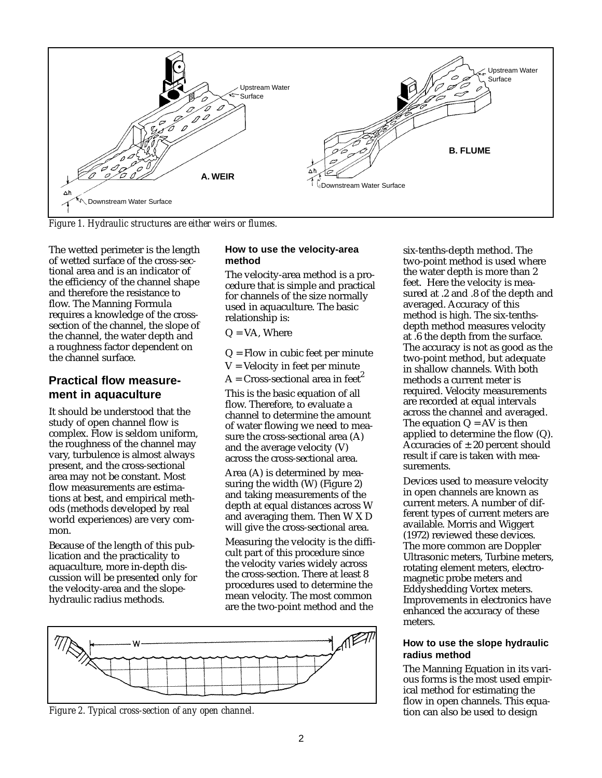

*Figure 1. Hydraulic structures are either weirs or flumes.*

The wetted perimeter is the length of wetted surface of the cross-sectional area and is an indicator of the efficiency of the channel shape and therefore the resistance to flow. The Manning Formula requires a knowledge of the crosssection of the channel, the slope of the channel, the water depth and a roughness factor dependent on the channel surface.

# **Practical flow measurement in aquaculture**

It should be understood that the study of open channel flow is complex. Flow is seldom uniform, the roughness of the channel may vary, turbulence is almost always present, and the cross-sectional area may not be constant. Most flow measurements are estimations at best, and empirical methods (methods developed by real world experiences) are very common.

Because of the length of this publication and the practicality to aquaculture, more in-depth discussion will be presented only for the velocity-area and the slopehydraulic radius methods.

### **How to use the velocity-area method**

The velocity-area method is a procedure that is simple and practical for channels of the size normally used in aquaculture. The basic relationship is:

 $Q = VA$ , Where

- $Q =$  Flow in cubic feet per minute
- V = Velocity in feet per minute
- $A = Cross-sectional area in feet<sup>2</sup>$

This is the basic equation of all flow. Therefore, to evaluate a channel to determine the amount of water flowing we need to measure the cross-sectional area (A) and the average velocity (V) across the cross-sectional area.

Area (A) is determined by measuring the width (W) (Figure 2) and taking measurements of the depth at equal distances across W and averaging them. Then W X D will give the cross-sectional area.

Measuring the velocity is the difficult part of this procedure since the velocity varies widely across the cross-section. There at least 8 procedures used to determine the mean velocity. The most common are the two-point method and the



*Figure 2. Typical cross-section of any open channel.*

six-tenths-depth method. The two-point method is used where the water depth is more than 2 feet. Here the velocity is measured at .2 and .8 of the depth and averaged. Accuracy of this method is high. The six-tenthsdepth method measures velocity at .6 the depth from the surface. The accuracy is not as good as the two-point method, but adequate in shallow channels. With both methods a current meter is required. Velocity measurements are recorded at equal intervals across the channel and averaged. The equation  $Q = AV$  is then applied to determine the flow (Q). Accuracies of  $\pm 20$  percent should result if care is taken with measurements.

Devices used to measure velocity in open channels are known as current meters. A number of different types of current meters are available. Morris and Wiggert (1972) reviewed these devices. The more common are Doppler Ultrasonic meters, Turbine meters, rotating element meters, electromagnetic probe meters and Eddyshedding Vortex meters. Improvements in electronics have enhanced the accuracy of these meters.

## **How to use the slope hydraulic radius method**

The Manning Equation in its various forms is the most used empirical method for estimating the flow in open channels. This equation can also be used to design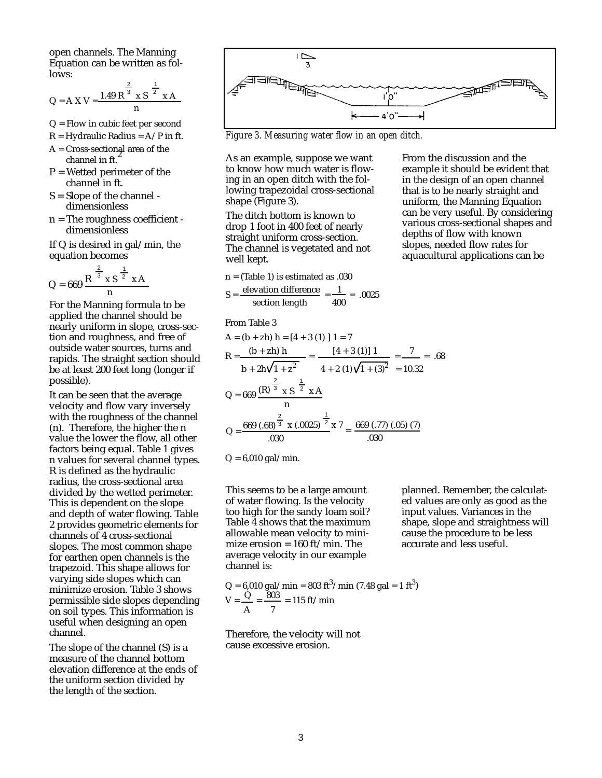open channels. The Manning Equation can be written as follows: 2

1

$$
Q = A X V = \frac{1.49 R^{\frac{3}{3}} x S^{\frac{2}{2}} x A}{n}
$$

- Q = Flow in cubic feet per second
- $R = Hydraulic Radius = A/P$  in ft.
- A = Cross-sectional area of the channel in ft.
- $P = W$ etted perimeter of the channel in ft.
- S = Slope of the channel dimensionless
- n = The roughness coefficient dimensionless

If Q is desired in gal/min, the equation becomes

$$
Q = 669 \frac{R^{\frac{2}{3}} \times S^{\frac{1}{2}} \times A}{n}
$$

For the Manning formula to be applied the channel should be nearly uniform in slope, cross-section and roughness, and free of outside water sources, turns and rapids. The straight section should be at least 200 feet long (longer if possible).

It can be seen that the average velocity and flow vary inversely with the roughness of the channel (n). Therefore, the higher the n value the lower the flow, all other factors being equal. Table 1 gives n values for several channel types. R is defined as the hydraulic radius, the cross-sectional area divided by the wetted perimeter. This is dependent on the slope and depth of water flowing. Table 2 provides geometric elements for channels of 4 cross-sectional slopes. The most common shape for earthen open channels is the trapezoid. This shape allows for varying side slopes which can minimize erosion. Table 3 shows permissible side slopes depending on soil types. This information is useful when designing an open channel.

The slope of the channel (S) is a measure of the channel bottom elevation difference at the ends of the uniform section divided by the length of the section.



*Figure 3. Measuring water flow in an open ditch.*

As an example, suppose we want to know how much water is flowing in an open ditch with the following trapezoidal cross-sectional shape (Figure 3).

The ditch bottom is known to drop 1 foot in 400 feet of nearly straight uniform cross-section. The channel is vegetated and not well kept.

n = (Table 1) is estimated as .030

$$
S = \frac{\text{elevation difference}}{\text{section length}} = \frac{1}{400} = .0025
$$

From Table 3

A = (b + zh) h = [4 + 3 (1) ] 1 = 7  
\nR = 
$$
\frac{(b + zh) h}{b + 2h\sqrt{1 + z^2}} = \frac{[4 + 3 (1)] 1}{4 + 2 (1)\sqrt{1 + (3)^2}} = \frac{7}{10.32} = .68
$$
  
\nQ = 669  $\frac{(R)^{\frac{2}{3}} \times S^{-\frac{1}{2}} \times A}{n}$   
\nQ =  $\frac{669 (.68)^{\frac{2}{3}} \times (.0025)^{\frac{1}{2}} \times 7}{0.030} = \frac{669 (.77) (.05) (7)}{0.030}$ 

 $Q = 6,010$  gal/min.

This seems to be a large amount of water flowing. Is the velocity too high for the sandy loam soil? Table 4 shows that the maximum allowable mean velocity to minimize erosion =  $160 \text{ ft/min}$ . The average velocity in our example channel is:

 $Q = 6{,}010 \text{ gal/min} = 803 \text{ ft}^3/\text{min}$  (7.48 gal = 1 ft<sup>3</sup>)  $V = \frac{Q}{V} = \frac{803}{V} = 115$  ft/min A 7

Therefore, the velocity will not cause excessive erosion.

planned. Remember, the calculated values are only as good as the input values. Variances in the shape, slope and straightness will cause the procedure to be less accurate and less useful.

From the discussion and the example it should be evident that in the design of an open channel that is to be nearly straight and uniform, the Manning Equation can be very useful. By considering various cross-sectional shapes and depths of flow with known slopes, needed flow rates for aquacultural applications can be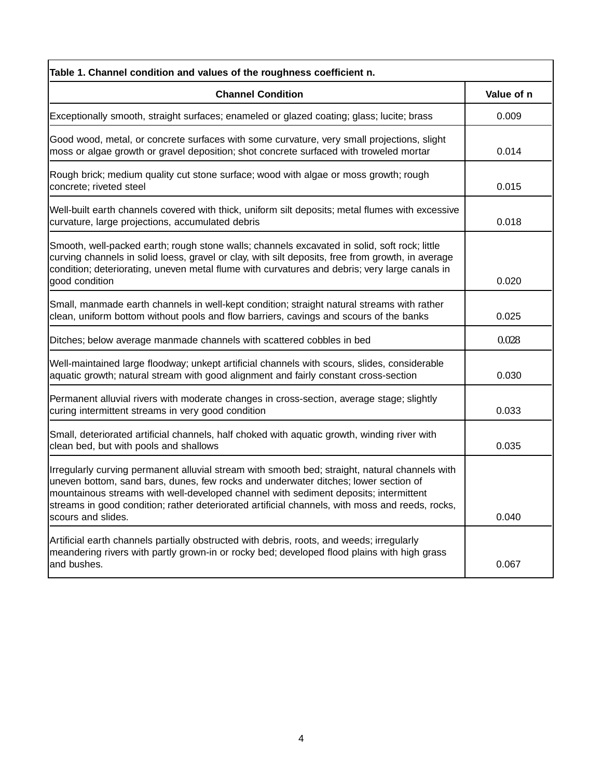| Table 1. Channel condition and values of the roughness coefficient n.                                                                                                                                                                                                                                                                                                                                  |            |  |  |  |
|--------------------------------------------------------------------------------------------------------------------------------------------------------------------------------------------------------------------------------------------------------------------------------------------------------------------------------------------------------------------------------------------------------|------------|--|--|--|
| <b>Channel Condition</b>                                                                                                                                                                                                                                                                                                                                                                               | Value of n |  |  |  |
| Exceptionally smooth, straight surfaces; enameled or glazed coating; glass; lucite; brass                                                                                                                                                                                                                                                                                                              | 0.009      |  |  |  |
| Good wood, metal, or concrete surfaces with some curvature, very small projections, slight<br>moss or algae growth or gravel deposition; shot concrete surfaced with troweled mortar                                                                                                                                                                                                                   | 0.014      |  |  |  |
| Rough brick; medium quality cut stone surface; wood with algae or moss growth; rough<br>concrete; riveted steel                                                                                                                                                                                                                                                                                        | 0.015      |  |  |  |
| Well-built earth channels covered with thick, uniform silt deposits; metal flumes with excessive<br>curvature, large projections, accumulated debris                                                                                                                                                                                                                                                   | 0.018      |  |  |  |
| Smooth, well-packed earth; rough stone walls; channels excavated in solid, soft rock; little<br>curving channels in solid loess, gravel or clay, with silt deposits, free from growth, in average<br>condition; deteriorating, uneven metal flume with curvatures and debris; very large canals in                                                                                                     | 0.020      |  |  |  |
| good condition                                                                                                                                                                                                                                                                                                                                                                                         |            |  |  |  |
| Small, manmade earth channels in well-kept condition; straight natural streams with rather<br>clean, uniform bottom without pools and flow barriers, cavings and scours of the banks                                                                                                                                                                                                                   | 0.025      |  |  |  |
| Ditches; below average manmade channels with scattered cobbles in bed                                                                                                                                                                                                                                                                                                                                  | 0.028      |  |  |  |
| Well-maintained large floodway; unkept artificial channels with scours, slides, considerable<br>aquatic growth; natural stream with good alignment and fairly constant cross-section                                                                                                                                                                                                                   | 0.030      |  |  |  |
| Permanent alluvial rivers with moderate changes in cross-section, average stage; slightly<br>curing intermittent streams in very good condition                                                                                                                                                                                                                                                        | 0.033      |  |  |  |
| Small, deteriorated artificial channels, half choked with aquatic growth, winding river with<br>clean bed, but with pools and shallows                                                                                                                                                                                                                                                                 | 0.035      |  |  |  |
| Irregularly curving permanent alluvial stream with smooth bed; straight, natural channels with<br>uneven bottom, sand bars, dunes, few rocks and underwater ditches; lower section of<br>mountainous streams with well-developed channel with sediment deposits; intermittent<br>streams in good condition; rather deteriorated artificial channels, with moss and reeds, rocks,<br>scours and slides. | 0.040      |  |  |  |
| Artificial earth channels partially obstructed with debris, roots, and weeds; irregularly<br>meandering rivers with partly grown-in or rocky bed; developed flood plains with high grass<br>and bushes.                                                                                                                                                                                                | 0.067      |  |  |  |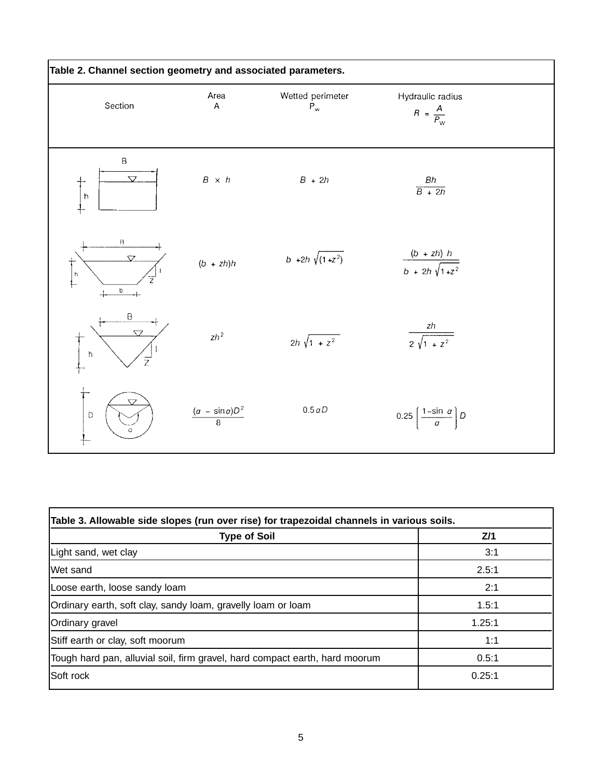| Table 2. Channel section geometry and associated parameters. |                                 |                                               |                                                    |  |  |
|--------------------------------------------------------------|---------------------------------|-----------------------------------------------|----------------------------------------------------|--|--|
| Section                                                      | Area<br>$\overline{\mathsf{A}}$ | Wetted perimeter<br>$\mathsf{P}_{\mathsf{w}}$ | Hydraulic radius<br>$R = \frac{A}{P_{\rm w}}$      |  |  |
| $\sf B$<br>$\overline{\nabla}$<br>$\vert$ h                  | $B~\times~h$                    | $B + 2h$                                      | $\frac{Bh}{B + 2h}$                                |  |  |
| B<br>$\overline{\mathbf{y}}$<br> h<br>$\overline{z}$<br>b    | $(b + zh)h$                     | $b +2h \sqrt{(1+z^2)}$                        | $\frac{(b + zh) h}{b + 2h \sqrt{1+z^2}}$           |  |  |
| $\mathsf B$<br>$\overline{\nabla}$<br>$\hbar$<br>Ż           | $zh^2$                          | $2h \sqrt{1 + z^2}$                           | zh<br>$\frac{1}{2\sqrt{1+z^2}}$                    |  |  |
| $\mathbb D$                                                  | $\frac{(a - \sin a)D^2}{8}$     | 0.5 aD                                        | 0.25 $\left(\frac{1-\sin\,\alpha}{\alpha}\right)D$ |  |  |

| Z/1    |
|--------|
| 3:1    |
| 2.5:1  |
| 2:1    |
| 1.5:1  |
| 1.25:1 |
| 1:1    |
| 0.5:1  |
| 0.25:1 |
|        |